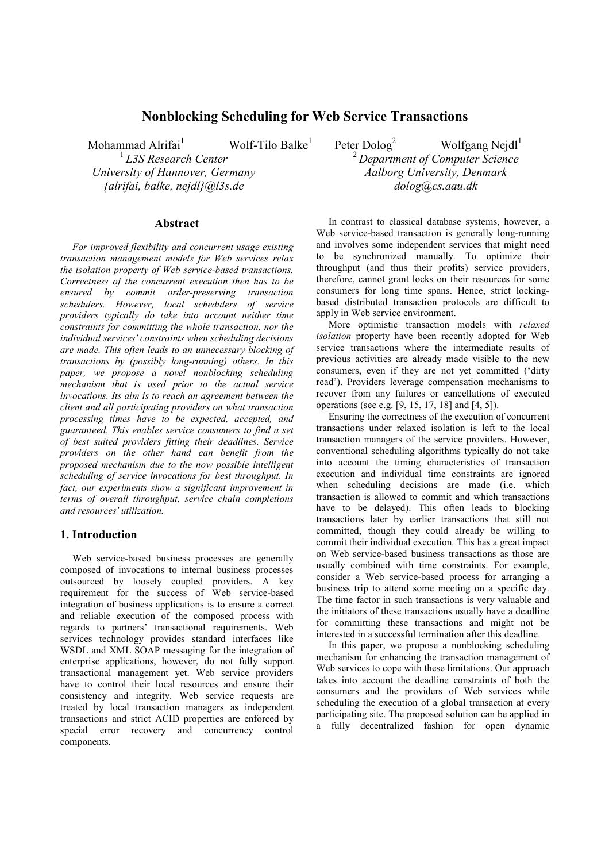# Nonblocking Scheduling for Web Service Transactions

 $1$  L3S Research Center University of Hannover, Germany {alrifai, balke, nejdl}@l3s.de

## Abstract

For improved flexibility and concurrent usage existing transaction management models for Web services relax the isolation property of Web service-based transactions. Correctness of the concurrent execution then has to be ensured by commit order-preserving transaction schedulers. However, local schedulers of service providers typically do take into account neither time constraints for committing the whole transaction, nor the individual services' constraints when scheduling decisions are made. This often leads to an unnecessary blocking of transactions by (possibly long-running) others. In this paper, we propose a novel nonblocking scheduling mechanism that is used prior to the actual service invocations. Its aim is to reach an agreement between the client and all participating providers on what transaction processing times have to be expected, accepted, and guaranteed. This enables service consumers to find a set of best suited providers fitting their deadlines. Service providers on the other hand can benefit from the proposed mechanism due to the now possible intelligent scheduling of service invocations for best throughput. In fact, our experiments show a significant improvement in terms of overall throughput, service chain completions and resources' utilization.

# 1. Introduction

Web service-based business processes are generally composed of invocations to internal business processes outsourced by loosely coupled providers. A key requirement for the success of Web service-based integration of business applications is to ensure a correct and reliable execution of the composed process with regards to partners' transactional requirements. Web services technology provides standard interfaces like WSDL and XML SOAP messaging for the integration of enterprise applications, however, do not fully support transactional management yet. Web service providers have to control their local resources and ensure their consistency and integrity. Web service requests are treated by local transaction managers as independent transactions and strict ACID properties are enforced by special error recovery and concurrency control components.

Mohammad Alrifai<sup>1</sup> Wolf-Tilo Balke<sup>1</sup> Peter Dolog<sup>2</sup> Wolfgang Nejdl<sup>1</sup>  $2$  Department of Computer Science Aalborg University, Denmark dolog@cs.aau.dk

> In contrast to classical database systems, however, a Web service-based transaction is generally long-running and involves some independent services that might need to be synchronized manually. To optimize their throughput (and thus their profits) service providers, therefore, cannot grant locks on their resources for some consumers for long time spans. Hence, strict lockingbased distributed transaction protocols are difficult to apply in Web service environment.

> More optimistic transaction models with *relaxed* isolation property have been recently adopted for Web service transactions where the intermediate results of previous activities are already made visible to the new consumers, even if they are not yet committed ('dirty read'). Providers leverage compensation mechanisms to recover from any failures or cancellations of executed operations (see e.g. [9, 15, 17, 18] and [4, 5]).

> Ensuring the correctness of the execution of concurrent transactions under relaxed isolation is left to the local transaction managers of the service providers. However, conventional scheduling algorithms typically do not take into account the timing characteristics of transaction execution and individual time constraints are ignored when scheduling decisions are made (i.e. which transaction is allowed to commit and which transactions have to be delayed). This often leads to blocking transactions later by earlier transactions that still not committed, though they could already be willing to commit their individual execution. This has a great impact on Web service-based business transactions as those are usually combined with time constraints. For example, consider a Web service-based process for arranging a business trip to attend some meeting on a specific day. The time factor in such transactions is very valuable and the initiators of these transactions usually have a deadline for committing these transactions and might not be interested in a successful termination after this deadline.

> In this paper, we propose a nonblocking scheduling mechanism for enhancing the transaction management of Web services to cope with these limitations. Our approach takes into account the deadline constraints of both the consumers and the providers of Web services while scheduling the execution of a global transaction at every participating site. The proposed solution can be applied in a fully decentralized fashion for open dynamic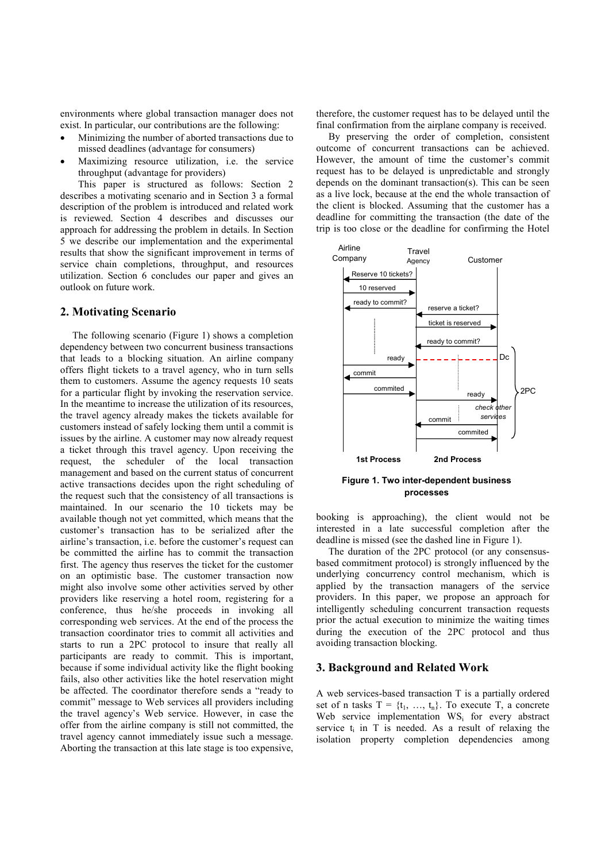environments where global transaction manager does not exist. In particular, our contributions are the following:

- Minimizing the number of aborted transactions due to missed deadlines (advantage for consumers)
- Maximizing resource utilization, i.e. the service throughput (advantage for providers)

This paper is structured as follows: Section 2 describes a motivating scenario and in Section 3 a formal description of the problem is introduced and related work is reviewed. Section 4 describes and discusses our approach for addressing the problem in details. In Section 5 we describe our implementation and the experimental results that show the significant improvement in terms of service chain completions, throughput, and resources utilization. Section 6 concludes our paper and gives an outlook on future work.

### 2. Motivating Scenario

The following scenario (Figure 1) shows a completion dependency between two concurrent business transactions that leads to a blocking situation. An airline company offers flight tickets to a travel agency, who in turn sells them to customers. Assume the agency requests 10 seats for a particular flight by invoking the reservation service. In the meantime to increase the utilization of its resources, the travel agency already makes the tickets available for customers instead of safely locking them until a commit is issues by the airline. A customer may now already request a ticket through this travel agency. Upon receiving the request, the scheduler of the local transaction management and based on the current status of concurrent active transactions decides upon the right scheduling of the request such that the consistency of all transactions is maintained. In our scenario the 10 tickets may be available though not yet committed, which means that the customer's transaction has to be serialized after the airline's transaction, i.e. before the customer's request can be committed the airline has to commit the transaction first. The agency thus reserves the ticket for the customer on an optimistic base. The customer transaction now might also involve some other activities served by other providers like reserving a hotel room, registering for a conference, thus he/she proceeds in invoking all corresponding web services. At the end of the process the transaction coordinator tries to commit all activities and starts to run a 2PC protocol to insure that really all participants are ready to commit. This is important, because if some individual activity like the flight booking fails, also other activities like the hotel reservation might be affected. The coordinator therefore sends a "ready to commit" message to Web services all providers including the travel agency's Web service. However, in case the offer from the airline company is still not committed, the travel agency cannot immediately issue such a message. Aborting the transaction at this late stage is too expensive,

therefore, the customer request has to be delayed until the final confirmation from the airplane company is received.

By preserving the order of completion, consistent outcome of concurrent transactions can be achieved. However, the amount of time the customer's commit request has to be delayed is unpredictable and strongly depends on the dominant transaction(s). This can be seen as a live lock, because at the end the whole transaction of the client is blocked. Assuming that the customer has a deadline for committing the transaction (the date of the trip is too close or the deadline for confirming the Hotel



Figure 1. Two inter-dependent business processes

booking is approaching), the client would not be interested in a late successful completion after the deadline is missed (see the dashed line in Figure 1).

The duration of the 2PC protocol (or any consensusbased commitment protocol) is strongly influenced by the underlying concurrency control mechanism, which is applied by the transaction managers of the service providers. In this paper, we propose an approach for intelligently scheduling concurrent transaction requests prior the actual execution to minimize the waiting times during the execution of the 2PC protocol and thus avoiding transaction blocking.

# 3. Background and Related Work

A web services-based transaction T is a partially ordered set of n tasks  $T = \{t_1, ..., t_n\}$ . To execute T, a concrete Web service implementation  $WS_i$  for every abstract service  $t_i$  in T is needed. As a result of relaxing the isolation property completion dependencies among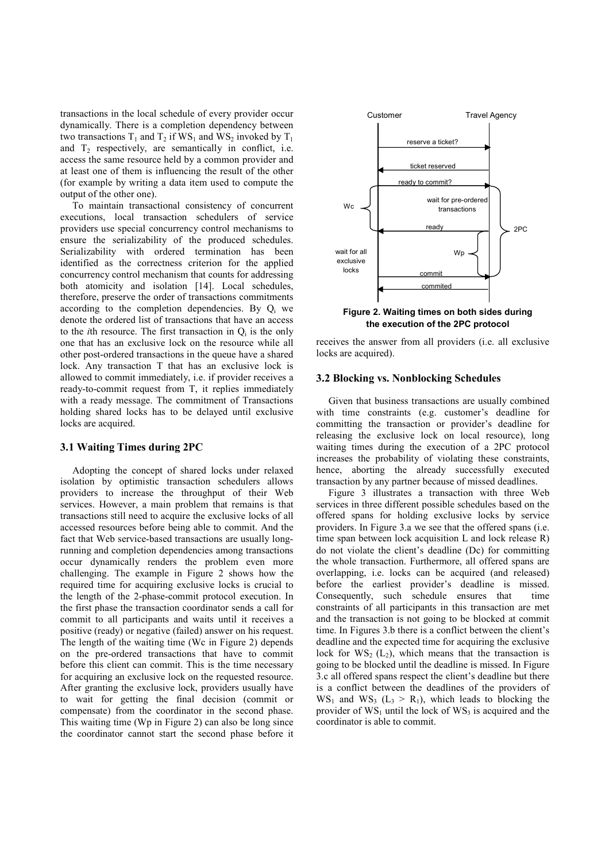transactions in the local schedule of every provider occur dynamically. There is a completion dependency between two transactions  $T_1$  and  $T_2$  if  $WS_1$  and  $WS_2$  invoked by  $T_1$ and  $T_2$  respectively, are semantically in conflict, i.e. access the same resource held by a common provider and at least one of them is influencing the result of the other (for example by writing a data item used to compute the output of the other one).

To maintain transactional consistency of concurrent executions, local transaction schedulers of service providers use special concurrency control mechanisms to ensure the serializability of the produced schedules. Serializability with ordered termination has been identified as the correctness criterion for the applied concurrency control mechanism that counts for addressing both atomicity and isolation [14]. Local schedules, therefore, preserve the order of transactions commitments according to the completion dependencies. By  $Q_i$  we denote the ordered list of transactions that have an access to the *i*th resource. The first transaction in  $Q_i$  is the only one that has an exclusive lock on the resource while all other post-ordered transactions in the queue have a shared lock. Any transaction T that has an exclusive lock is allowed to commit immediately, i.e. if provider receives a ready-to-commit request from T, it replies immediately with a ready message. The commitment of Transactions holding shared locks has to be delayed until exclusive locks are acquired.

### 3.1 Waiting Times during 2PC

Adopting the concept of shared locks under relaxed isolation by optimistic transaction schedulers allows providers to increase the throughput of their Web services. However, a main problem that remains is that transactions still need to acquire the exclusive locks of all accessed resources before being able to commit. And the fact that Web service-based transactions are usually longrunning and completion dependencies among transactions occur dynamically renders the problem even more challenging. The example in Figure 2 shows how the required time for acquiring exclusive locks is crucial to the length of the 2-phase-commit protocol execution. In the first phase the transaction coordinator sends a call for commit to all participants and waits until it receives a positive (ready) or negative (failed) answer on his request. The length of the waiting time (Wc in Figure 2) depends on the pre-ordered transactions that have to commit before this client can commit. This is the time necessary for acquiring an exclusive lock on the requested resource. After granting the exclusive lock, providers usually have to wait for getting the final decision (commit or compensate) from the coordinator in the second phase. This waiting time (Wp in Figure 2) can also be long since the coordinator cannot start the second phase before it



Figure 2. Waiting times on both sides during the execution of the 2PC protocol

receives the answer from all providers (i.e. all exclusive locks are acquired).

# 3.2 Blocking vs. Nonblocking Schedules

Given that business transactions are usually combined with time constraints (e.g. customer's deadline for committing the transaction or provider's deadline for releasing the exclusive lock on local resource), long waiting times during the execution of a 2PC protocol increases the probability of violating these constraints, hence, aborting the already successfully executed transaction by any partner because of missed deadlines.

Figure 3 illustrates a transaction with three Web services in three different possible schedules based on the offered spans for holding exclusive locks by service providers. In Figure 3.a we see that the offered spans (i.e. time span between lock acquisition L and lock release R) do not violate the client's deadline (Dc) for committing the whole transaction. Furthermore, all offered spans are overlapping, i.e. locks can be acquired (and released) before the earliest provider's deadline is missed. Consequently, such schedule ensures that time constraints of all participants in this transaction are met and the transaction is not going to be blocked at commit time. In Figures 3.b there is a conflict between the client's deadline and the expected time for acquiring the exclusive lock for  $WS_2$  (L<sub>2</sub>), which means that the transaction is going to be blocked until the deadline is missed. In Figure 3.c all offered spans respect the client's deadline but there is a conflict between the deadlines of the providers of  $WS_1$  and  $WS_3$  (L<sub>3</sub> > R<sub>1</sub>), which leads to blocking the provider of  $WS_1$  until the lock of  $WS_3$  is acquired and the coordinator is able to commit.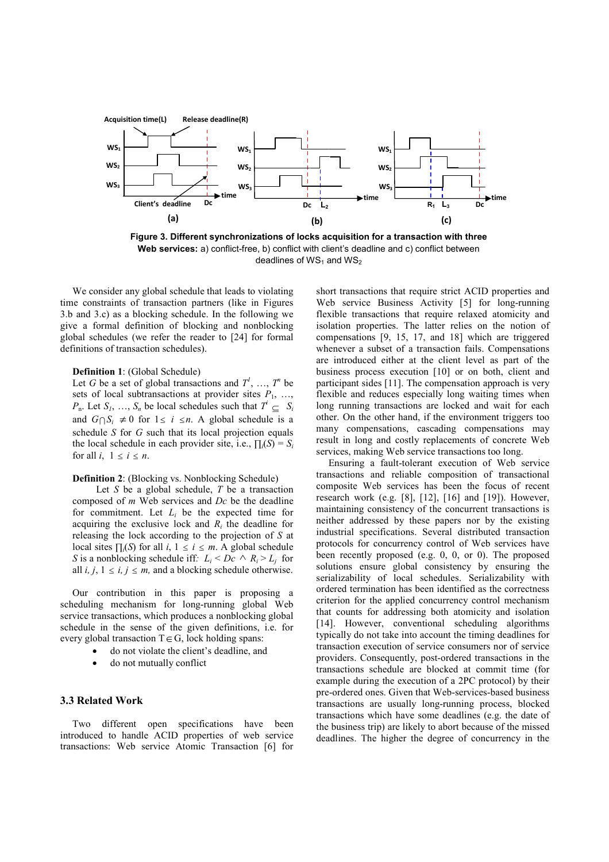

Figure 3. Different synchronizations of locks acquisition for a transaction with three Web services: a) conflict-free, b) conflict with client's deadline and c) conflict between deadlines of  $WS_1$  and  $WS_2$ 

We consider any global schedule that leads to violating time constraints of transaction partners (like in Figures 3.b and 3.c) as a blocking schedule. In the following we give a formal definition of blocking and nonblocking global schedules (we refer the reader to [24] for formal definitions of transaction schedules).

Definition 1: (Global Schedule)

Let G be a set of global transactions and  $T^l$ , ...,  $T^n$  be sets of local subtransactions at provider sites  $P_1$ , ...,  $P_n$ . Let  $S_1, \ldots, S_n$  be local schedules such that  $T^i \subseteq S_i$ and  $G \cap S_i \neq 0$  for  $1 \leq i \leq n$ . A global schedule is a schedule S for G such that its local projection equals the local schedule in each provider site, i.e.,  $\prod_i(S) = S_i$ for all  $i, 1 \le i \le n$ .

Definition 2: (Blocking vs. Nonblocking Schedule)

Let S be a global schedule,  $T$  be a transaction composed of  $m$  Web services and  $Dc$  be the deadline for commitment. Let  $L_i$  be the expected time for acquiring the exclusive lock and  $R_i$  the deadline for releasing the lock according to the projection of S at local sites  $\prod_i(S)$  for all  $i, 1 \le i \le m$ . A global schedule S is a nonblocking schedule iff:  $L_i < D_c \wedge R_i > L_j$  for all *i*,  $j$ ,  $1 \le i$ ,  $j \le m$ , and a blocking schedule otherwise.

Our contribution in this paper is proposing a scheduling mechanism for long-running global Web service transactions, which produces a nonblocking global schedule in the sense of the given definitions, i.e. for every global transaction T∈G, lock holding spans:

- do not violate the client's deadline, and
- do not mutually conflict

## 3.3 Related Work

Two different open specifications have been introduced to handle ACID properties of web service transactions: Web service Atomic Transaction [6] for

short transactions that require strict ACID properties and Web service Business Activity [5] for long-running flexible transactions that require relaxed atomicity and isolation properties. The latter relies on the notion of compensations [9, 15, 17, and 18] which are triggered whenever a subset of a transaction fails. Compensations are introduced either at the client level as part of the business process execution [10] or on both, client and participant sides [11]. The compensation approach is very flexible and reduces especially long waiting times when long running transactions are locked and wait for each other. On the other hand, if the environment triggers too many compensations, cascading compensations may result in long and costly replacements of concrete Web services, making Web service transactions too long.

Ensuring a fault-tolerant execution of Web service transactions and reliable composition of transactional composite Web services has been the focus of recent research work (e.g. [8], [12], [16] and [19]). However, maintaining consistency of the concurrent transactions is neither addressed by these papers nor by the existing industrial specifications. Several distributed transaction protocols for concurrency control of Web services have been recently proposed (e.g. 0, 0, or 0). The proposed solutions ensure global consistency by ensuring the serializability of local schedules. Serializability with ordered termination has been identified as the correctness criterion for the applied concurrency control mechanism that counts for addressing both atomicity and isolation [14]. However, conventional scheduling algorithms typically do not take into account the timing deadlines for transaction execution of service consumers nor of service providers. Consequently, post-ordered transactions in the transactions schedule are blocked at commit time (for example during the execution of a 2PC protocol) by their pre-ordered ones. Given that Web-services-based business transactions are usually long-running process, blocked transactions which have some deadlines (e.g. the date of the business trip) are likely to abort because of the missed deadlines. The higher the degree of concurrency in the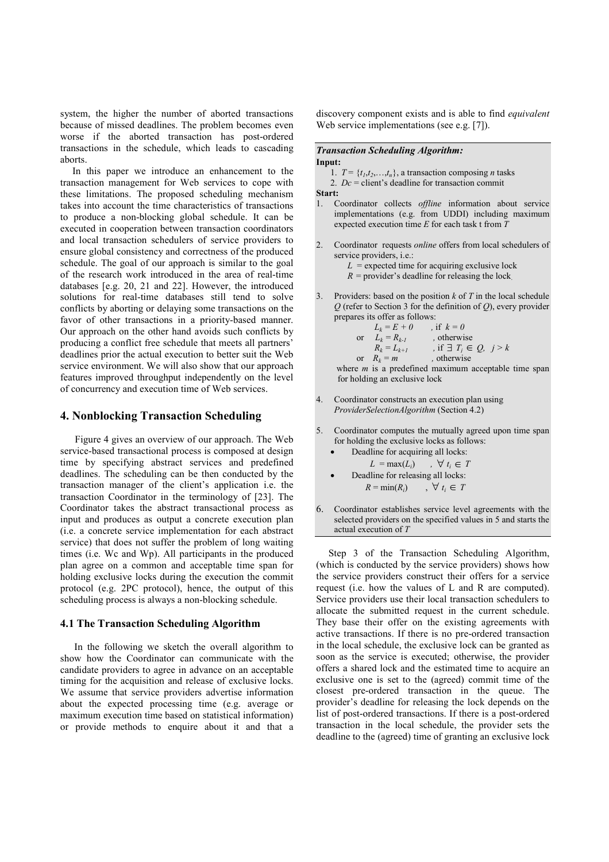system, the higher the number of aborted transactions because of missed deadlines. The problem becomes even worse if the aborted transaction has post-ordered transactions in the schedule, which leads to cascading aborts.

In this paper we introduce an enhancement to the transaction management for Web services to cope with these limitations. The proposed scheduling mechanism takes into account the time characteristics of transactions to produce a non-blocking global schedule. It can be executed in cooperation between transaction coordinators and local transaction schedulers of service providers to ensure global consistency and correctness of the produced schedule. The goal of our approach is similar to the goal of the research work introduced in the area of real-time databases [e.g. 20, 21 and 22]. However, the introduced solutions for real-time databases still tend to solve conflicts by aborting or delaying some transactions on the favor of other transactions in a priority-based manner. Our approach on the other hand avoids such conflicts by producing a conflict free schedule that meets all partners' deadlines prior the actual execution to better suit the Web service environment. We will also show that our approach features improved throughput independently on the level of concurrency and execution time of Web services.

# 4. Nonblocking Transaction Scheduling

 Figure 4 gives an overview of our approach. The Web service-based transactional process is composed at design time by specifying abstract services and predefined deadlines. The scheduling can be then conducted by the transaction manager of the client's application i.e. the transaction Coordinator in the terminology of [23]. The Coordinator takes the abstract transactional process as input and produces as output a concrete execution plan (i.e. a concrete service implementation for each abstract service) that does not suffer the problem of long waiting times (i.e. Wc and Wp). All participants in the produced plan agree on a common and acceptable time span for holding exclusive locks during the execution the commit protocol (e.g. 2PC protocol), hence, the output of this scheduling process is always a non-blocking schedule.

### 4.1 The Transaction Scheduling Algorithm

In the following we sketch the overall algorithm to show how the Coordinator can communicate with the candidate providers to agree in advance on an acceptable timing for the acquisition and release of exclusive locks. We assume that service providers advertise information about the expected processing time (e.g. average or maximum execution time based on statistical information) or provide methods to enquire about it and that a discovery component exists and is able to find *equivalent* Web service implementations (see e.g. [7]).

# Transaction Scheduling Algorithm:

#### Input:

1.  $T = \{t_1, t_2, \ldots, t_n\}$ , a transaction composing *n* tasks 2.  $Dc =$  client's deadline for transaction commit Start:

- Coordinator collects *offline* information about service implementations (e.g. from UDDI) including maximum expected execution time E for each task t from T
- 2. Coordinator requests *online* offers from local schedulers of service providers, i.e.:
	- $L =$  expected time for acquiring exclusive lock
	- $R$  = provider's deadline for releasing the lock.
- 3. Providers: based on the position  $k$  of  $T$  in the local schedule  $Q$  (refer to Section 3 for the definition of  $Q$ ), every provider prepares its offer as follows:

$$
L_k = E + 0 \t\t if \t k = 0
$$
  
or 
$$
L_k = R_{k-1} \t\t , otherwise
$$
  

$$
R_k = L_{k+1} \t\t , if \exists T_j \in Q, j > k
$$
  
or 
$$
R_k = m \t\t , otherwise
$$

where  $m$  is a predefined maximum acceptable time span for holding an exclusive lock

- Coordinator constructs an execution plan using ProviderSelectionAlgorithm (Section 4.2)
- 5. Coordinator computes the mutually agreed upon time span for holding the exclusive locks as follows:
	- Deadline for acquiring all locks:

$$
L = \max(L_i) \qquad , \ \forall \ t_i \in T
$$

- Deadline for releasing all locks:  $R = \min(R_i)$ ,  $\forall t_i \in T$
- 6. Coordinator establishes service level agreements with the selected providers on the specified values in 5 and starts the actual execution of T

Step 3 of the Transaction Scheduling Algorithm, (which is conducted by the service providers) shows how the service providers construct their offers for a service request (i.e. how the values of L and R are computed). Service providers use their local transaction schedulers to allocate the submitted request in the current schedule. They base their offer on the existing agreements with active transactions. If there is no pre-ordered transaction in the local schedule, the exclusive lock can be granted as soon as the service is executed; otherwise, the provider offers a shared lock and the estimated time to acquire an exclusive one is set to the (agreed) commit time of the closest pre-ordered transaction in the queue. The provider's deadline for releasing the lock depends on the list of post-ordered transactions. If there is a post-ordered transaction in the local schedule, the provider sets the deadline to the (agreed) time of granting an exclusive lock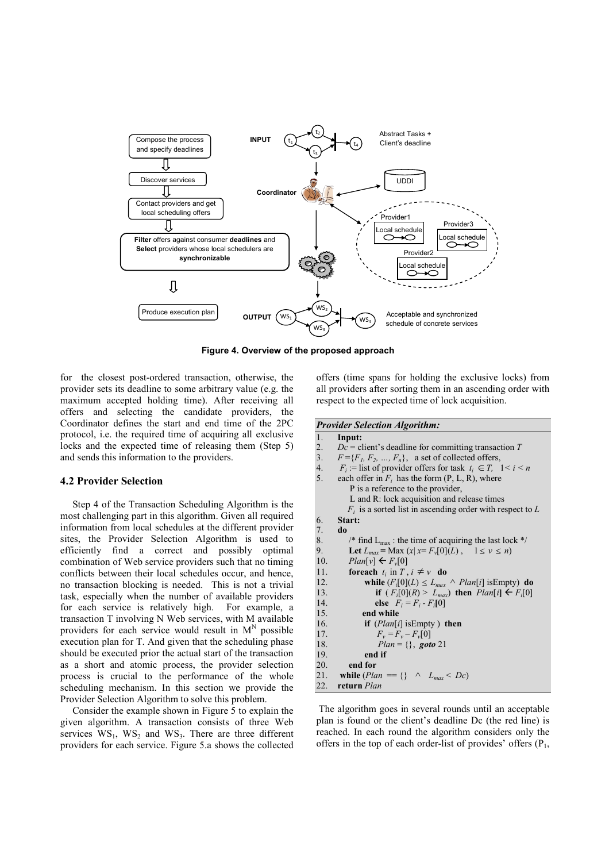

Figure 4. Overview of the proposed approach

for the closest post-ordered transaction, otherwise, the provider sets its deadline to some arbitrary value (e.g. the maximum accepted holding time). After receiving all offers and selecting the candidate providers, the Coordinator defines the start and end time of the 2PC protocol, i.e. the required time of acquiring all exclusive locks and the expected time of releasing them (Step 5) and sends this information to the providers.

### 4.2 Provider Selection

Step 4 of the Transaction Scheduling Algorithm is the most challenging part in this algorithm. Given all required information from local schedules at the different provider sites, the Provider Selection Algorithm is used to efficiently find a correct and possibly optimal combination of Web service providers such that no timing conflicts between their local schedules occur, and hence, no transaction blocking is needed. This is not a trivial task, especially when the number of available providers for each service is relatively high. For example, a transaction T involving N Web services, with M available providers for each service would result in  $M<sup>N</sup>$  possible execution plan for T. And given that the scheduling phase should be executed prior the actual start of the transaction as a short and atomic process, the provider selection process is crucial to the performance of the whole scheduling mechanism. In this section we provide the Provider Selection Algorithm to solve this problem.

Consider the example shown in Figure 5 to explain the given algorithm. A transaction consists of three Web services  $WS_1$ ,  $WS_2$  and  $WS_3$ . There are three different providers for each service. Figure 5.a shows the collected

offers (time spans for holding the exclusive locks) from all providers after sorting them in an ascending order with respect to the expected time of lock acquisition.

### Provider Selection Algorithm:

#### 1. Input: 2.  $Dc =$  client's deadline for committing transaction T<br>3.  $F = \{F_1, F_2, ..., F_n\}$  a set of collected offers. 3.  $F = \{F_1, F_2, ..., F_n\}$ , a set of collected offers, 4.  $F_i :=$  list of provider offers for task  $t_i \in T$ ,  $1 \le i \le n$ 5. each offer in  $F_i$  has the form  $(P, L, R)$ , where P is a reference to the provider, L and R: lock acquisition and release times  $F_i$  is a sorted list in ascending order with respect to  $L$ 6. Start: 7. do 8.  $\frac{\text{#}}{\text{4}}$  /\* find  $L_{\text{max}}$ : the time of acquiring the last lock \*/<br>9. Let  $L_{\text{max}} = \text{Max} (x | x = F \cdot J(0) (L)$ .  $1 \le y \le n$ 9. Let  $L_{max} = \text{Max}(x | x = F_v[0](L)$ ,  $1 \le v \le n)$ <br>10.  $Plan[v] \in F_v[0]$ 10.  $Plan[v] \leftarrow F_v[0]$ 11. for each  $t_i$  in  $\overline{T}$ ,  $i \neq v$  do 12. while  $(F_i[0](L) \le L_{max} \wedge Plan[i]$  is Empty) do 13. if  $(F_i[0](R) > L_{max})$  then  $Plan[i] \leftarrow F_i[0]$ 14. **else**  $F_i = F_i - F_i[0]$ 15. **end while**<br>16. **if**  $(Plan[i])$ if  $(Plan[i]$  is Empty ) then  $\frac{17}{18}$ .  $F_v - F_v[0]$ 18.  $Plan = \{\},\ \text{goto 21}$ <br>19. **end if** 19. end if<br>20. end for end for 21. while  $(Plan == \{\} \wedge L_{max} < Dc)$ 22. return Plan

 The algorithm goes in several rounds until an acceptable plan is found or the client's deadline Dc (the red line) is reached. In each round the algorithm considers only the offers in the top of each order-list of provides' offers  $(P_1, P_2)$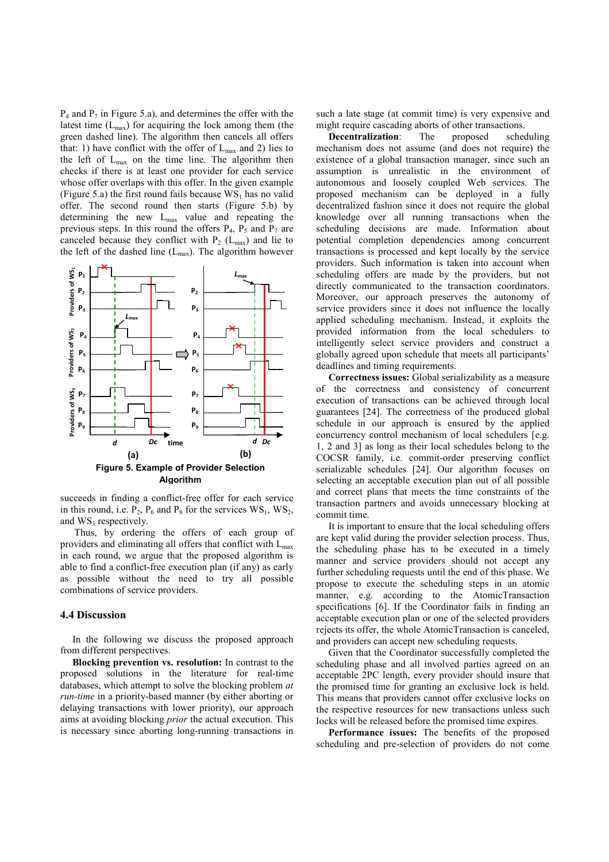$P_4$  and  $P_7$  in Figure 5.a), and determines the offer with the latest time  $(L_{\text{max}})$  for acquiring the lock among them (the green dashed line). The algorithm then cancels all offers that: 1) have conflict with the offer of  $L_{\text{max}}$  and 2) lies to the left of  $L_{\text{max}}$  on the time line. The algorithm then checks if there is at least one provider for each service whose offer overlaps with this offer. In the given example (Figure 5.a) the first round fails because  $WS_1$  has no valid offer. The second round then starts (Figure 5.b) by determining the new Lmax value and repeating the previous steps. In this round the offers  $P_4$ ,  $P_5$  and  $P_7$  are canceled because they conflict with  $P_2$  (L<sub>max</sub>) and lie to the left of the dashed line  $(L_{max})$ . The algorithm however



succeeds in finding a conflict-free offer for each service in this round, i.e.  $P_2$ ,  $P_6$  and  $P_8$  for the services  $WS_1$ ,  $WS_2$ , and  $WS_3$  respectively.

Thus, by ordering the offers of each group of providers and eliminating all offers that conflict with  $L_{\text{max}}$ in each round, we argue that the proposed algorithm is able to find a conflict-free execution plan (if any) as early as possible without the need to try all possible combinations of service providers.

## 4.4 Discussion

In the following we discuss the proposed approach from different perspectives.

Blocking prevention vs. resolution: In contrast to the proposed solutions in the literature for real-time databases, which attempt to solve the blocking problem at run-time in a priority-based manner (by either aborting or delaying transactions with lower priority), our approach aims at avoiding blocking prior the actual execution. This is necessary since aborting long-running transactions in

such a late stage (at commit time) is very expensive and might require cascading aborts of other transactions.

Decentralization: The proposed scheduling mechanism does not assume (and does not require) the existence of a global transaction manager, since such an assumption is unrealistic in the environment of autonomous and loosely coupled Web services. The proposed mechanism can be deployed in a fully decentralized fashion since it does not require the global knowledge over all running transactions when the scheduling decisions are made. Information about potential completion dependencies among concurrent transactions is processed and kept locally by the service providers. Such information is taken into account when scheduling offers are made by the providers, but not directly communicated to the transaction coordinators. Moreover, our approach preserves the autonomy of service providers since it does not influence the locally applied scheduling mechanism. Instead, it exploits the provided information from the local schedulers to intelligently select service providers and construct a globally agreed upon schedule that meets all participants' deadlines and timing requirements.

Correctness issues: Global serializability as a measure of the correctness and consistency of concurrent execution of transactions can be achieved through local guarantees [24]. The correctness of the produced global schedule in our approach is ensured by the applied concurrency control mechanism of local schedulers [e.g. 1, 2 and 3] as long as their local schedules belong to the COCSR family, i.e. commit-order preserving conflict serializable schedules [24]. Our algorithm focuses on selecting an acceptable execution plan out of all possible and correct plans that meets the time constraints of the transaction partners and avoids unnecessary blocking at commit time.

It is important to ensure that the local scheduling offers are kept valid during the provider selection process. Thus, the scheduling phase has to be executed in a timely manner and service providers should not accept any further scheduling requests until the end of this phase. We propose to execute the scheduling steps in an atomic manner, e.g. according to the AtomicTransaction specifications [6]. If the Coordinator fails in finding an acceptable execution plan or one of the selected providers rejects its offer, the whole AtomicTransaction is canceled, and providers can accept new scheduling requests.

Given that the Coordinator successfully completed the scheduling phase and all involved parties agreed on an acceptable 2PC length, every provider should insure that the promised time for granting an exclusive lock is held. This means that providers cannot offer exclusive locks on the respective resources for new transactions unless such locks will be released before the promised time expires.

Performance issues: The benefits of the proposed scheduling and pre-selection of providers do not come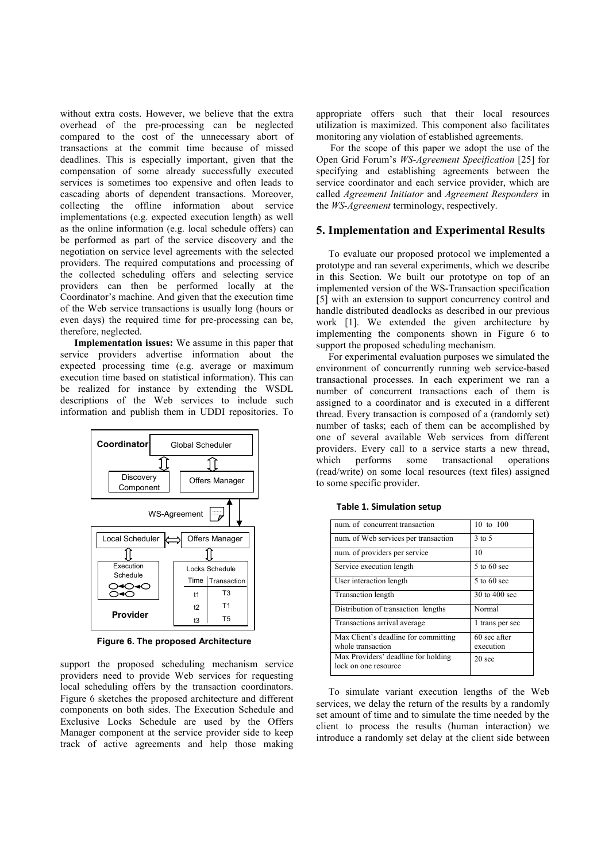without extra costs. However, we believe that the extra overhead of the pre-processing can be neglected compared to the cost of the unnecessary abort of transactions at the commit time because of missed deadlines. This is especially important, given that the compensation of some already successfully executed services is sometimes too expensive and often leads to cascading aborts of dependent transactions. Moreover, collecting the offline information about service implementations (e.g. expected execution length) as well as the online information (e.g. local schedule offers) can be performed as part of the service discovery and the negotiation on service level agreements with the selected providers. The required computations and processing of the collected scheduling offers and selecting service providers can then be performed locally at the Coordinator's machine. And given that the execution time of the Web service transactions is usually long (hours or even days) the required time for pre-processing can be, therefore, neglected.

Implementation issues: We assume in this paper that service providers advertise information about the expected processing time (e.g. average or maximum execution time based on statistical information). This can be realized for instance by extending the WSDL descriptions of the Web services to include such information and publish them in UDDI repositories. To



Figure 6. The proposed Architecture

support the proposed scheduling mechanism service providers need to provide Web services for requesting local scheduling offers by the transaction coordinators. Figure 6 sketches the proposed architecture and different components on both sides. The Execution Schedule and Exclusive Locks Schedule are used by the Offers Manager component at the service provider side to keep track of active agreements and help those making

appropriate offers such that their local resources utilization is maximized. This component also facilitates monitoring any violation of established agreements.

For the scope of this paper we adopt the use of the Open Grid Forum's WS-Agreement Specification [25] for specifying and establishing agreements between the service coordinator and each service provider, which are called Agreement Initiator and Agreement Responders in the *WS-Agreement* terminology, respectively.

# 5. Implementation and Experimental Results

To evaluate our proposed protocol we implemented a prototype and ran several experiments, which we describe in this Section. We built our prototype on top of an implemented version of the WS-Transaction specification [5] with an extension to support concurrency control and handle distributed deadlocks as described in our previous work [1]. We extended the given architecture by implementing the components shown in Figure 6 to support the proposed scheduling mechanism.

For experimental evaluation purposes we simulated the environment of concurrently running web service-based transactional processes. In each experiment we ran a number of concurrent transactions each of them is assigned to a coordinator and is executed in a different thread. Every transaction is composed of a (randomly set) number of tasks; each of them can be accomplished by one of several available Web services from different providers. Every call to a service starts a new thread, which performs some transactional operations (read/write) on some local resources (text files) assigned to some specific provider.

| num, of concurrent transaction                              | 10 to $100$               |
|-------------------------------------------------------------|---------------------------|
| num. of Web services per transaction                        | 3 to 5                    |
| num. of providers per service                               | 10                        |
| Service execution length                                    | $5$ to 60 sec             |
| User interaction length                                     | $5$ to 60 sec             |
| <b>Transaction</b> length                                   | 30 to 400 sec             |
| Distribution of transaction lengths                         | Normal                    |
| Transactions arrival average                                | 1 trans per sec           |
| Max Client's deadline for committing<br>whole transaction   | 60 sec after<br>execution |
| Max Providers' deadline for holding<br>lock on one resource | $20 \text{ sec}$          |

Table 1. Simulation setup

To simulate variant execution lengths of the Web services, we delay the return of the results by a randomly set amount of time and to simulate the time needed by the client to process the results (human interaction) we introduce a randomly set delay at the client side between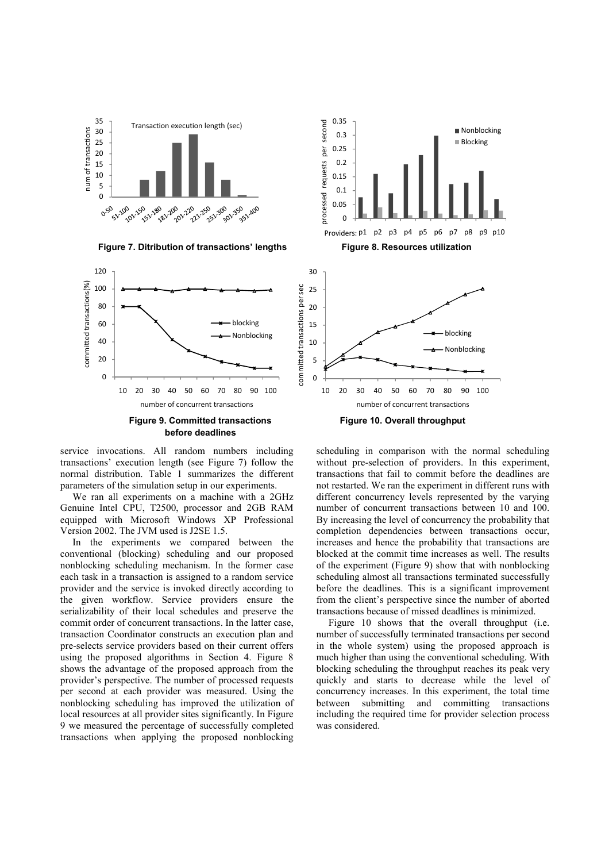







service invocations. All random numbers including transactions' execution length (see Figure 7) follow the normal distribution. Table 1 summarizes the different parameters of the simulation setup in our experiments.

We ran all experiments on a machine with a 2GHz Genuine Intel CPU, T2500, processor and 2GB RAM equipped with Microsoft Windows XP Professional Version 2002. The JVM used is J2SE 1.5.

In the experiments we compared between the conventional (blocking) scheduling and our proposed nonblocking scheduling mechanism. In the former case each task in a transaction is assigned to a random service provider and the service is invoked directly according to the given workflow. Service providers ensure the serializability of their local schedules and preserve the commit order of concurrent transactions. In the latter case, transaction Coordinator constructs an execution plan and pre-selects service providers based on their current offers using the proposed algorithms in Section 4. Figure 8 shows the advantage of the proposed approach from the provider's perspective. The number of processed requests per second at each provider was measured. Using the nonblocking scheduling has improved the utilization of local resources at all provider sites significantly. In Figure 9 we measured the percentage of successfully completed transactions when applying the proposed nonblocking

scheduling in comparison with the normal scheduling without pre-selection of providers. In this experiment, transactions that fail to commit before the deadlines are not restarted. We ran the experiment in different runs with different concurrency levels represented by the varying number of concurrent transactions between 10 and 100. By increasing the level of concurrency the probability that completion dependencies between transactions occur, increases and hence the probability that transactions are blocked at the commit time increases as well. The results of the experiment (Figure 9) show that with nonblocking scheduling almost all transactions terminated successfully before the deadlines. This is a significant improvement from the client's perspective since the number of aborted transactions because of missed deadlines is minimized.

Figure 10 shows that the overall throughput (i.e. number of successfully terminated transactions per second in the whole system) using the proposed approach is much higher than using the conventional scheduling. With blocking scheduling the throughput reaches its peak very quickly and starts to decrease while the level of concurrency increases. In this experiment, the total time between submitting and committing transactions including the required time for provider selection process was considered.